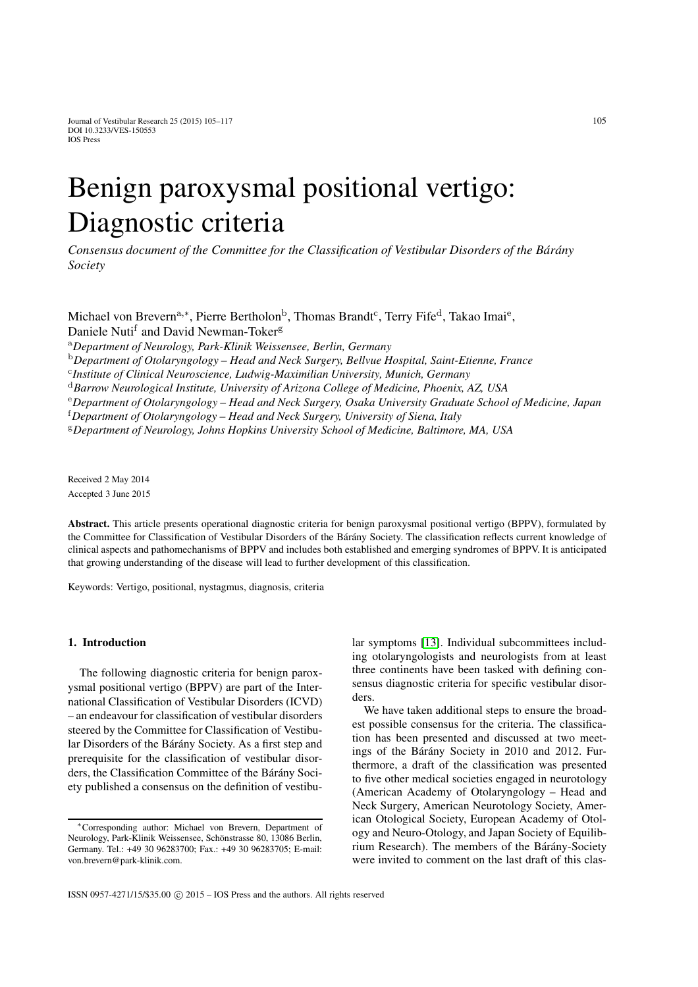# Benign paroxysmal positional vertigo: Diagnostic criteria

*Consensus document of the Committee for the Classification of Vestibular Disorders of the Bárány Society*

Michael von Brevern<sup>a,∗</sup>, Pierre Bertholon<sup>b</sup>, Thomas Brandt<sup>c</sup>, Terry Fife<sup>d</sup>, Takao Imai<sup>e</sup>, Daniele Nuti<sup>f</sup> and David Newman-Toker<sup>g</sup>

<sup>a</sup>*Department of Neurology, Park-Klinik Weissensee, Berlin, Germany*

<sup>b</sup>*Department of Otolaryngology – Head and Neck Surgery, Bellvue Hospital, Saint-Etienne, France*

<sup>c</sup>*Institute of Clinical Neuroscience, Ludwig-Maximilian University, Munich, Germany*

<sup>d</sup>*Barrow Neurological Institute, University of Arizona College of Medicine, Phoenix, AZ, USA*

<sup>e</sup>*Department of Otolaryngology – Head and Neck Surgery, Osaka University Graduate School of Medicine, Japan*

f *Department of Otolaryngology – Head and Neck Surgery, University of Siena, Italy*

<sup>g</sup>*Department of Neurology, Johns Hopkins University School of Medicine, Baltimore, MA, USA*

Received 2 May 2014 Accepted 3 June 2015

Abstract. This article presents operational diagnostic criteria for benign paroxysmal positional vertigo (BPPV), formulated by the Committee for Classification of Vestibular Disorders of the Bárány Society. The classification reflects current knowledge of clinical aspects and pathomechanisms of BPPV and includes both established and emerging syndromes of BPPV. It is anticipated that growing understanding of the disease will lead to further development of this classification.

Keywords: Vertigo, positional, nystagmus, diagnosis, criteria

# 1. Introduction

The following diagnostic criteria for benign paroxysmal positional vertigo (BPPV) are part of the International Classification of Vestibular Disorders (ICVD) – an endeavour for classification of vestibular disorders steered by the Committee for Classification of Vestibular Disorders of the Bárány Society. As a first step and prerequisite for the classification of vestibular disorders, the Classification Committee of the Bárány Society published a consensus on the definition of vestibular symptoms [\[13\]](#page-11-0). Individual subcommittees including otolaryngologists and neurologists from at least three continents have been tasked with defining consensus diagnostic criteria for specific vestibular disorders.

We have taken additional steps to ensure the broadest possible consensus for the criteria. The classification has been presented and discussed at two meetings of the Bárány Society in 2010 and 2012. Furthermore, a draft of the classification was presented to five other medical societies engaged in neurotology (American Academy of Otolaryngology – Head and Neck Surgery, American Neurotology Society, American Otological Society, European Academy of Otology and Neuro-Otology, and Japan Society of Equilibrium Research). The members of the Bárány-Society were invited to comment on the last draft of this clas-

<sup>∗</sup>Corresponding author: Michael von Brevern, Department of Neurology, Park-Klinik Weissensee, Schönstrasse 80, 13086 Berlin, Germany. Tel.: +49 30 96283700; Fax.: +49 30 96283705; E-mail: von.brevern@park-klinik.com.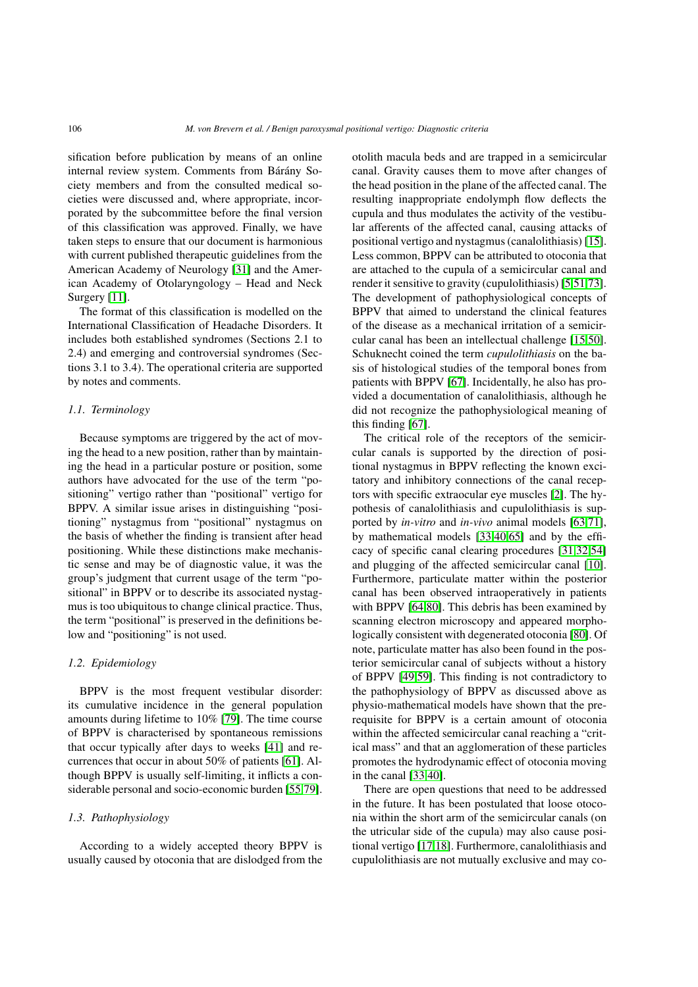sification before publication by means of an online internal review system. Comments from Bárány Society members and from the consulted medical societies were discussed and, where appropriate, incorporated by the subcommittee before the final version of this classification was approved. Finally, we have taken steps to ensure that our document is harmonious with current published therapeutic guidelines from the American Academy of Neurology [\[31\]](#page-11-1) and the American Academy of Otolaryngology – Head and Neck Surgery [\[11\]](#page-11-2).

The format of this classification is modelled on the International Classification of Headache Disorders. It includes both established syndromes (Sections 2.1 to 2.4) and emerging and controversial syndromes (Sections 3.1 to 3.4). The operational criteria are supported by notes and comments.

#### *1.1. Terminology*

Because symptoms are triggered by the act of moving the head to a new position, rather than by maintaining the head in a particular posture or position, some authors have advocated for the use of the term "positioning" vertigo rather than "positional" vertigo for BPPV. A similar issue arises in distinguishing "positioning" nystagmus from "positional" nystagmus on the basis of whether the finding is transient after head positioning. While these distinctions make mechanistic sense and may be of diagnostic value, it was the group's judgment that current usage of the term "positional" in BPPV or to describe its associated nystagmus is too ubiquitous to change clinical practice. Thus, the term "positional" is preserved in the definitions below and "positioning" is not used.

#### *1.2. Epidemiology*

BPPV is the most frequent vestibular disorder: its cumulative incidence in the general population amounts during lifetime to 10% [\[79\]](#page-12-0). The time course of BPPV is characterised by spontaneous remissions that occur typically after days to weeks [\[41\]](#page-11-3) and recurrences that occur in about 50% of patients [\[61\]](#page-12-1). Although BPPV is usually self-limiting, it inflicts a considerable personal and socio-economic burden [\[55](#page-12-2)[,79\]](#page-12-0).

#### *1.3. Pathophysiology*

According to a widely accepted theory BPPV is usually caused by otoconia that are dislodged from the otolith macula beds and are trapped in a semicircular canal. Gravity causes them to move after changes of the head position in the plane of the affected canal. The resulting inappropriate endolymph flow deflects the cupula and thus modulates the activity of the vestibular afferents of the affected canal, causing attacks of positional vertigo and nystagmus (canalolithiasis) [\[15\]](#page-11-4). Less common, BPPV can be attributed to otoconia that are attached to the cupula of a semicircular canal and render it sensitive to gravity (cupulolithiasis) [\[5](#page-10-0)[,51,](#page-12-3)[73\]](#page-12-4). The development of pathophysiological concepts of BPPV that aimed to understand the clinical features of the disease as a mechanical irritation of a semicircular canal has been an intellectual challenge [\[15](#page-11-4)[,50\]](#page-12-5). Schuknecht coined the term *cupulolithiasis* on the basis of histological studies of the temporal bones from patients with BPPV [\[67\]](#page-12-6). Incidentally, he also has provided a documentation of canalolithiasis, although he did not recognize the pathophysiological meaning of this finding [\[67\]](#page-12-6).

The critical role of the receptors of the semicircular canals is supported by the direction of positional nystagmus in BPPV reflecting the known excitatory and inhibitory connections of the canal receptors with specific extraocular eye muscles [\[2\]](#page-10-1). The hypothesis of canalolithiasis and cupulolithiasis is supported by *in-vitro* and *in-vivo* animal models [\[63,](#page-12-7)[71\]](#page-12-8), by mathematical models [\[33](#page-11-5)[,40](#page-11-6)[,65\]](#page-12-9) and by the efficacy of specific canal clearing procedures [\[31](#page-11-1)[,32,](#page-11-7)[54\]](#page-12-10) and plugging of the affected semicircular canal [\[10\]](#page-11-8). Furthermore, particulate matter within the posterior canal has been observed intraoperatively in patients with BPPV [\[64,](#page-12-11)[80\]](#page-12-12). This debris has been examined by scanning electron microscopy and appeared morphologically consistent with degenerated otoconia [\[80\]](#page-12-12). Of note, particulate matter has also been found in the posterior semicircular canal of subjects without a history of BPPV [\[49,](#page-12-13)[59\]](#page-12-14). This finding is not contradictory to the pathophysiology of BPPV as discussed above as physio-mathematical models have shown that the prerequisite for BPPV is a certain amount of otoconia within the affected semicircular canal reaching a "critical mass" and that an agglomeration of these particles promotes the hydrodynamic effect of otoconia moving in the canal [\[33](#page-11-5)[,40\]](#page-11-6).

There are open questions that need to be addressed in the future. It has been postulated that loose otoconia within the short arm of the semicircular canals (on the utricular side of the cupula) may also cause positional vertigo [\[17,](#page-11-9)[18\]](#page-11-10). Furthermore, canalolithiasis and cupulolithiasis are not mutually exclusive and may co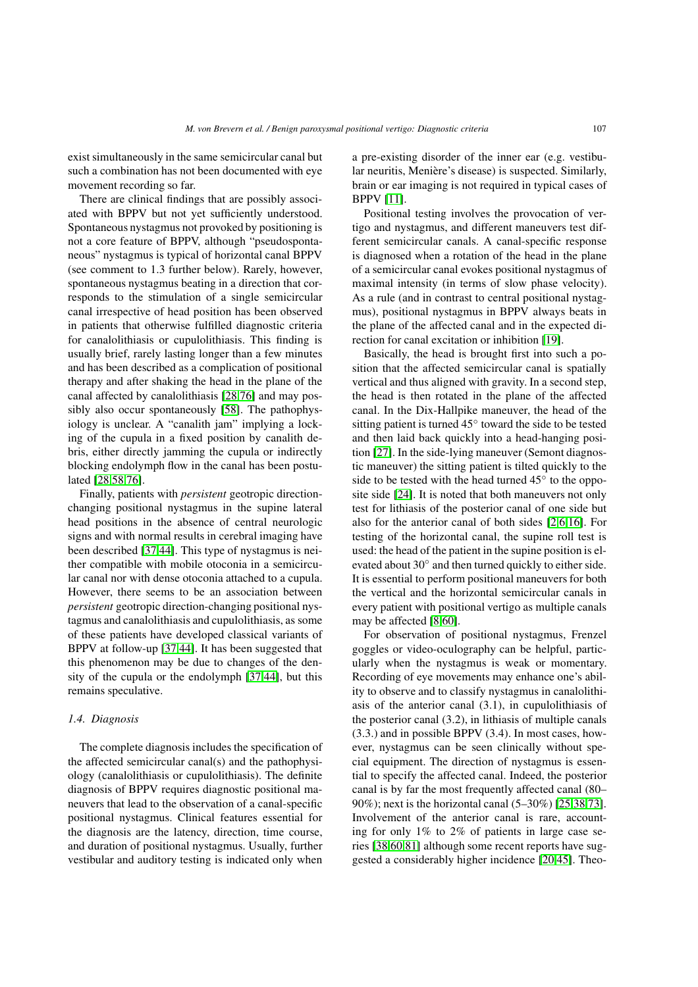exist simultaneously in the same semicircular canal but such a combination has not been documented with eye movement recording so far.

There are clinical findings that are possibly associated with BPPV but not yet sufficiently understood. Spontaneous nystagmus not provoked by positioning is not a core feature of BPPV, although "pseudospontaneous" nystagmus is typical of horizontal canal BPPV (see comment to 1.3 further below). Rarely, however, spontaneous nystagmus beating in a direction that corresponds to the stimulation of a single semicircular canal irrespective of head position has been observed in patients that otherwise fulfilled diagnostic criteria for canalolithiasis or cupulolithiasis. This finding is usually brief, rarely lasting longer than a few minutes and has been described as a complication of positional therapy and after shaking the head in the plane of the canal affected by canalolithiasis [\[28](#page-11-11)[,76\]](#page-12-15) and may possibly also occur spontaneously [\[58\]](#page-12-16). The pathophysiology is unclear. A "canalith jam" implying a locking of the cupula in a fixed position by canalith debris, either directly jamming the cupula or indirectly blocking endolymph flow in the canal has been postulated [\[28,](#page-11-11)[58](#page-12-16)[,76\]](#page-12-15).

Finally, patients with *persistent* geotropic directionchanging positional nystagmus in the supine lateral head positions in the absence of central neurologic signs and with normal results in cerebral imaging have been described [\[37](#page-11-12)[,44\]](#page-11-13). This type of nystagmus is neither compatible with mobile otoconia in a semicircular canal nor with dense otoconia attached to a cupula. However, there seems to be an association between *persistent* geotropic direction-changing positional nystagmus and canalolithiasis and cupulolithiasis, as some of these patients have developed classical variants of BPPV at follow-up [\[37](#page-11-12)[,44\]](#page-11-13). It has been suggested that this phenomenon may be due to changes of the density of the cupula or the endolymph [\[37](#page-11-12)[,44\]](#page-11-13), but this remains speculative.

#### *1.4. Diagnosis*

The complete diagnosis includes the specification of the affected semicircular canal(s) and the pathophysiology (canalolithiasis or cupulolithiasis). The definite diagnosis of BPPV requires diagnostic positional maneuvers that lead to the observation of a canal-specific positional nystagmus. Clinical features essential for the diagnosis are the latency, direction, time course, and duration of positional nystagmus. Usually, further vestibular and auditory testing is indicated only when a pre-existing disorder of the inner ear (e.g. vestibular neuritis, Menière's disease) is suspected. Similarly, brain or ear imaging is not required in typical cases of BPPV [\[11\]](#page-11-2).

Positional testing involves the provocation of vertigo and nystagmus, and different maneuvers test different semicircular canals. A canal-specific response is diagnosed when a rotation of the head in the plane of a semicircular canal evokes positional nystagmus of maximal intensity (in terms of slow phase velocity). As a rule (and in contrast to central positional nystagmus), positional nystagmus in BPPV always beats in the plane of the affected canal and in the expected direction for canal excitation or inhibition [\[19\]](#page-11-14).

Basically, the head is brought first into such a position that the affected semicircular canal is spatially vertical and thus aligned with gravity. In a second step, the head is then rotated in the plane of the affected canal. In the Dix-Hallpike maneuver, the head of the sitting patient is turned 45◦ toward the side to be tested and then laid back quickly into a head-hanging position [\[27\]](#page-11-15). In the side-lying maneuver (Semont diagnostic maneuver) the sitting patient is tilted quickly to the side to be tested with the head turned 45° to the opposite side [\[24\]](#page-11-16). It is noted that both maneuvers not only test for lithiasis of the posterior canal of one side but also for the anterior canal of both sides [\[2,](#page-10-1)[6,](#page-10-2)[16\]](#page-11-17). For testing of the horizontal canal, the supine roll test is used: the head of the patient in the supine position is elevated about 30◦ and then turned quickly to either side. It is essential to perform positional maneuvers for both the vertical and the horizontal semicircular canals in every patient with positional vertigo as multiple canals may be affected [\[8](#page-10-3)[,60\]](#page-12-17).

For observation of positional nystagmus, Frenzel goggles or video-oculography can be helpful, particularly when the nystagmus is weak or momentary. Recording of eye movements may enhance one's ability to observe and to classify nystagmus in canalolithiasis of the anterior canal (3.1), in cupulolithiasis of the posterior canal (3.2), in lithiasis of multiple canals (3.3.) and in possible BPPV (3.4). In most cases, however, nystagmus can be seen clinically without special equipment. The direction of nystagmus is essential to specify the affected canal. Indeed, the posterior canal is by far the most frequently affected canal (80– 90%); next is the horizontal canal (5–30%) [\[25](#page-11-18)[,38,](#page-11-19)[73\]](#page-12-4). Involvement of the anterior canal is rare, accounting for only 1% to 2% of patients in large case series [\[38](#page-11-19)[,60](#page-12-17)[,81\]](#page-12-18) although some recent reports have suggested a considerably higher incidence [\[20,](#page-11-20)[45\]](#page-11-21). Theo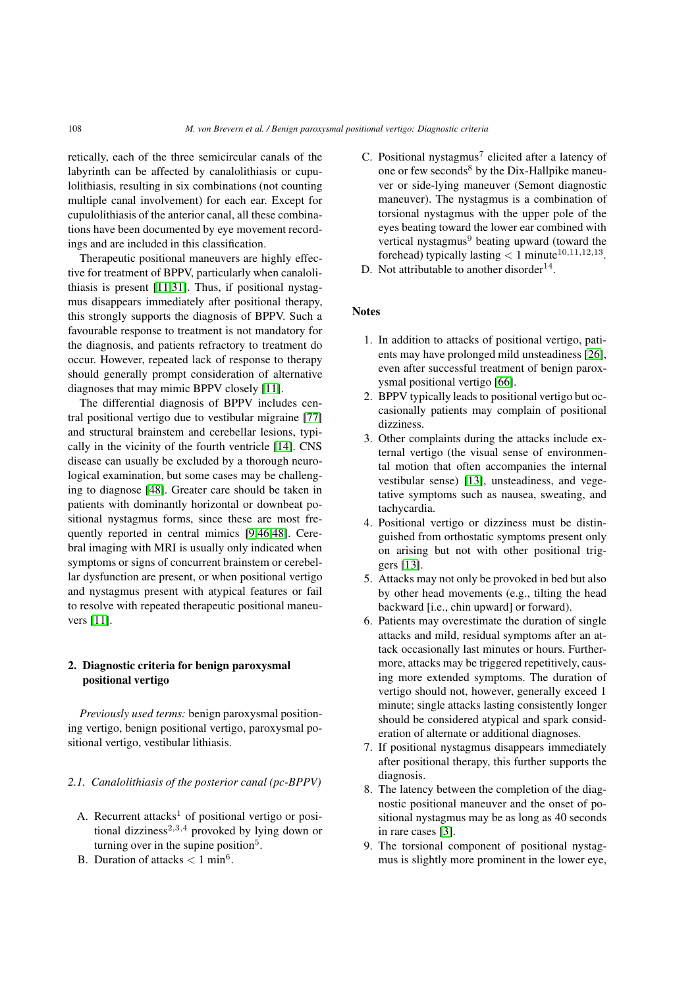retically, each of the three semicircular canals of the labyrinth can be affected by canalolithiasis or cupulolithiasis, resulting in six combinations (not counting multiple canal involvement) for each ear. Except for cupulolithiasis of the anterior canal, all these combinations have been documented by eye movement recordings and are included in this classification.

Therapeutic positional maneuvers are highly effective for treatment of BPPV, particularly when canalolithiasis is present [\[11](#page-11-2)[,31\]](#page-11-1). Thus, if positional nystagmus disappears immediately after positional therapy, this strongly supports the diagnosis of BPPV. Such a favourable response to treatment is not mandatory for the diagnosis, and patients refractory to treatment do occur. However, repeated lack of response to therapy should generally prompt consideration of alternative diagnoses that may mimic BPPV closely [\[11\]](#page-11-2).

The differential diagnosis of BPPV includes central positional vertigo due to vestibular migraine [\[77\]](#page-12-19) and structural brainstem and cerebellar lesions, typically in the vicinity of the fourth ventricle [\[14\]](#page-11-22). CNS disease can usually be excluded by a thorough neurological examination, but some cases may be challenging to diagnose [\[48\]](#page-12-20). Greater care should be taken in patients with dominantly horizontal or downbeat positional nystagmus forms, since these are most frequently reported in central mimics [\[9,](#page-11-23)[46,](#page-12-21)[48\]](#page-12-20). Cerebral imaging with MRI is usually only indicated when symptoms or signs of concurrent brainstem or cerebellar dysfunction are present, or when positional vertigo and nystagmus present with atypical features or fail to resolve with repeated therapeutic positional maneuvers [\[11\]](#page-11-2).

# 2. Diagnostic criteria for benign paroxysmal positional vertigo

*Previously used terms:* benign paroxysmal positioning vertigo, benign positional vertigo, paroxysmal positional vertigo, vestibular lithiasis.

# *2.1. Canalolithiasis of the posterior canal (pc-BPPV)*

- A. Recurrent attacks<sup>1</sup> of positional vertigo or positional dizziness<sup>2,3,4</sup> provoked by lying down or turning over in the supine position<sup>5</sup>.
- B. Duration of attacks *<* 1 min<sup>6</sup>.
- C. Positional nystagmus<sup>7</sup> elicited after a latency of one or few seconds $8$  by the Dix-Hallpike maneuver or side-lying maneuver (Semont diagnostic maneuver). The nystagmus is a combination of torsional nystagmus with the upper pole of the eyes beating toward the lower ear combined with vertical nystagmus<sup>9</sup> beating upward (toward the forehead) typically lasting  $< 1$  minute<sup>10,11,12,13</sup>.
- D. Not attributable to another disorder<sup>14</sup>.

# **Notes**

- 1. In addition to attacks of positional vertigo, patients may have prolonged mild unsteadiness [\[26\]](#page-11-24), even after successful treatment of benign paroxysmal positional vertigo [\[66\]](#page-12-22).
- 2. BPPV typically leads to positional vertigo but occasionally patients may complain of positional dizziness.
- 3. Other complaints during the attacks include external vertigo (the visual sense of environmental motion that often accompanies the internal vestibular sense) [\[13\]](#page-11-0), unsteadiness, and vegetative symptoms such as nausea, sweating, and tachycardia.
- 4. Positional vertigo or dizziness must be distinguished from orthostatic symptoms present only on arising but not with other positional triggers [\[13\]](#page-11-0).
- 5. Attacks may not only be provoked in bed but also by other head movements (e.g., tilting the head backward [i.e., chin upward] or forward).
- 6. Patients may overestimate the duration of single attacks and mild, residual symptoms after an attack occasionally last minutes or hours. Furthermore, attacks may be triggered repetitively, causing more extended symptoms. The duration of vertigo should not, however, generally exceed 1 minute; single attacks lasting consistently longer should be considered atypical and spark consideration of alternate or additional diagnoses.
- 7. If positional nystagmus disappears immediately after positional therapy, this further supports the diagnosis.
- 8. The latency between the completion of the diagnostic positional maneuver and the onset of positional nystagmus may be as long as 40 seconds in rare cases [\[3\]](#page-10-4).
- 9. The torsional component of positional nystagmus is slightly more prominent in the lower eye,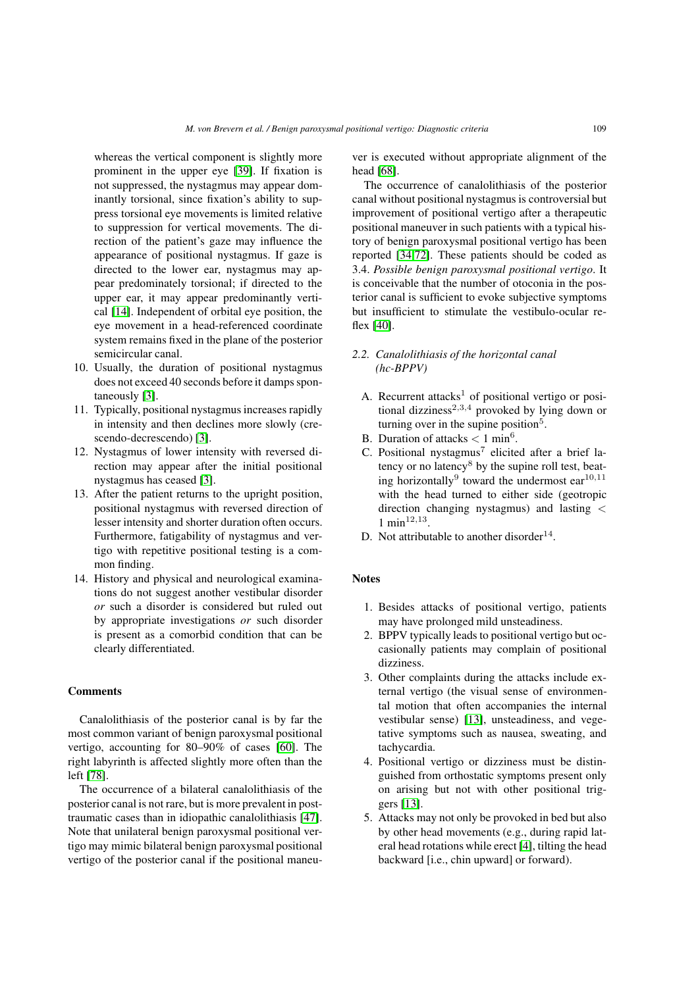whereas the vertical component is slightly more prominent in the upper eye [\[39\]](#page-11-25). If fixation is not suppressed, the nystagmus may appear dominantly torsional, since fixation's ability to suppress torsional eye movements is limited relative to suppression for vertical movements. The direction of the patient's gaze may influence the appearance of positional nystagmus. If gaze is directed to the lower ear, nystagmus may appear predominately torsional; if directed to the upper ear, it may appear predominantly vertical [\[14\]](#page-11-22). Independent of orbital eye position, the eye movement in a head-referenced coordinate system remains fixed in the plane of the posterior semicircular canal.

- 10. Usually, the duration of positional nystagmus does not exceed 40 seconds before it damps spontaneously [\[3\]](#page-10-4).
- 11. Typically, positional nystagmus increases rapidly in intensity and then declines more slowly (crescendo-decrescendo) [\[3\]](#page-10-4).
- 12. Nystagmus of lower intensity with reversed direction may appear after the initial positional nystagmus has ceased [\[3\]](#page-10-4).
- 13. After the patient returns to the upright position, positional nystagmus with reversed direction of lesser intensity and shorter duration often occurs. Furthermore, fatigability of nystagmus and vertigo with repetitive positional testing is a common finding.
- 14. History and physical and neurological examinations do not suggest another vestibular disorder *or* such a disorder is considered but ruled out by appropriate investigations *or* such disorder is present as a comorbid condition that can be clearly differentiated.

# Comments

Canalolithiasis of the posterior canal is by far the most common variant of benign paroxysmal positional vertigo, accounting for 80–90% of cases [\[60\]](#page-12-17). The right labyrinth is affected slightly more often than the left [\[78\]](#page-12-23).

The occurrence of a bilateral canalolithiasis of the posterior canal is not rare, but is more prevalent in posttraumatic cases than in idiopathic canalolithiasis [\[47\]](#page-12-24). Note that unilateral benign paroxysmal positional vertigo may mimic bilateral benign paroxysmal positional vertigo of the posterior canal if the positional maneuver is executed without appropriate alignment of the head [\[68\]](#page-12-25).

The occurrence of canalolithiasis of the posterior canal without positional nystagmus is controversial but improvement of positional vertigo after a therapeutic positional maneuver in such patients with a typical history of benign paroxysmal positional vertigo has been reported [\[34](#page-11-26)[,72\]](#page-12-26). These patients should be coded as 3.4. *Possible benign paroxysmal positional vertigo*. It is conceivable that the number of otoconia in the posterior canal is sufficient to evoke subjective symptoms but insufficient to stimulate the vestibulo-ocular reflex [\[40\]](#page-11-6).

# *2.2. Canalolithiasis of the horizontal canal (hc-BPPV)*

- A. Recurrent attacks<sup>1</sup> of positional vertigo or positional dizziness<sup>2,3,4</sup> provoked by lying down or turning over in the supine position<sup>5</sup>.
- B. Duration of attacks *<* 1 min6.
- C. Positional nystagmus<sup>7</sup> elicited after a brief latency or no latency<sup>8</sup> by the supine roll test, beating horizontally<sup>9</sup> toward the undermost  $ear^{10,11}$ with the head turned to either side (geotropic direction changing nystagmus) and lasting *<* 1 min12*,*13.
- D. Not attributable to another disorder<sup>14</sup>.

# **Notes**

- 1. Besides attacks of positional vertigo, patients may have prolonged mild unsteadiness.
- 2. BPPV typically leads to positional vertigo but occasionally patients may complain of positional dizziness.
- 3. Other complaints during the attacks include external vertigo (the visual sense of environmental motion that often accompanies the internal vestibular sense) [\[13\]](#page-11-0), unsteadiness, and vegetative symptoms such as nausea, sweating, and tachycardia.
- 4. Positional vertigo or dizziness must be distinguished from orthostatic symptoms present only on arising but not with other positional triggers [\[13\]](#page-11-0).
- 5. Attacks may not only be provoked in bed but also by other head movements (e.g., during rapid lateral head rotations while erect [\[4\]](#page-10-5), tilting the head backward [i.e., chin upward] or forward).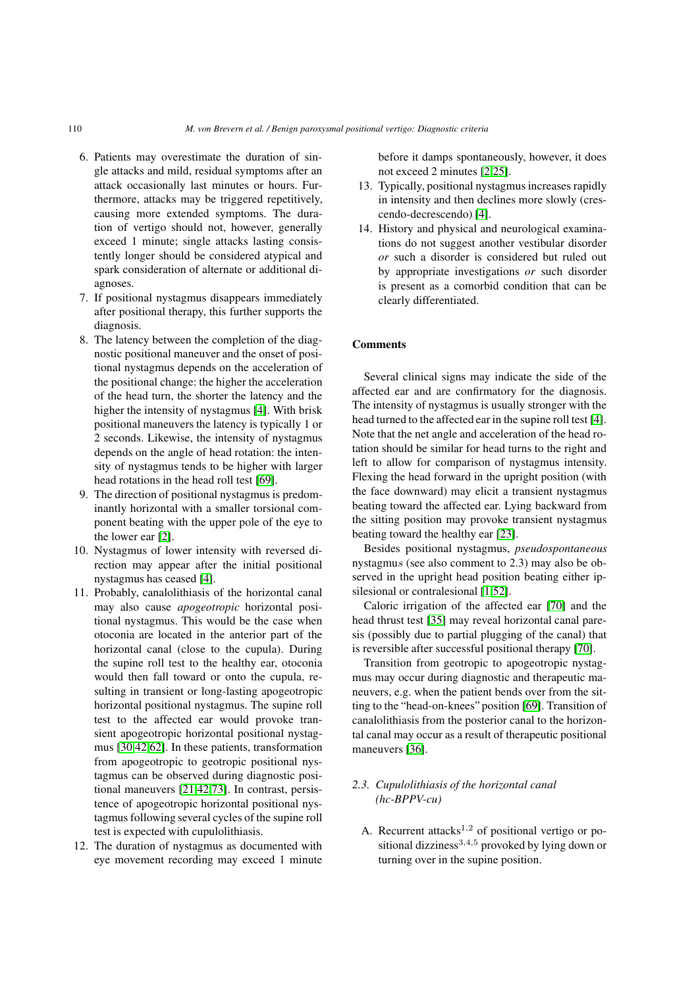- 6. Patients may overestimate the duration of single attacks and mild, residual symptoms after an attack occasionally last minutes or hours. Furthermore, attacks may be triggered repetitively, causing more extended symptoms. The duration of vertigo should not, however, generally exceed 1 minute; single attacks lasting consistently longer should be considered atypical and spark consideration of alternate or additional diagnoses.
- 7. If positional nystagmus disappears immediately after positional therapy, this further supports the diagnosis.
- 8. The latency between the completion of the diagnostic positional maneuver and the onset of positional nystagmus depends on the acceleration of the positional change: the higher the acceleration of the head turn, the shorter the latency and the higher the intensity of nystagmus [\[4\]](#page-10-5). With brisk positional maneuvers the latency is typically 1 or 2 seconds. Likewise, the intensity of nystagmus depends on the angle of head rotation: the intensity of nystagmus tends to be higher with larger head rotations in the head roll test [\[69\]](#page-12-27).
- 9. The direction of positional nystagmus is predominantly horizontal with a smaller torsional component beating with the upper pole of the eye to the lower ear [\[2\]](#page-10-1).
- 10. Nystagmus of lower intensity with reversed direction may appear after the initial positional nystagmus has ceased [\[4\]](#page-10-5).
- 11. Probably, canalolithiasis of the horizontal canal may also cause *apogeotropic* horizontal positional nystagmus. This would be the case when otoconia are located in the anterior part of the horizontal canal (close to the cupula). During the supine roll test to the healthy ear, otoconia would then fall toward or onto the cupula, resulting in transient or long-lasting apogeotropic horizontal positional nystagmus. The supine roll test to the affected ear would provoke transient apogeotropic horizontal positional nystagmus [\[30,](#page-11-27)[42,](#page-11-28)[62\]](#page-12-28). In these patients, transformation from apogeotropic to geotropic positional nystagmus can be observed during diagnostic positional maneuvers [\[21,](#page-11-29)[42](#page-11-28)[,73\]](#page-12-4). In contrast, persistence of apogeotropic horizontal positional nystagmus following several cycles of the supine roll test is expected with cupulolithiasis.
- 12. The duration of nystagmus as documented with eye movement recording may exceed 1 minute

before it damps spontaneously, however, it does not exceed 2 minutes [\[2,](#page-10-1)[25\]](#page-11-18).

- 13. Typically, positional nystagmus increases rapidly in intensity and then declines more slowly (crescendo-decrescendo) [\[4\]](#page-10-5).
- 14. History and physical and neurological examinations do not suggest another vestibular disorder *or* such a disorder is considered but ruled out by appropriate investigations *or* such disorder is present as a comorbid condition that can be clearly differentiated.

#### **Comments**

Several clinical signs may indicate the side of the affected ear and are confirmatory for the diagnosis. The intensity of nystagmus is usually stronger with the head turned to the affected ear in the supine roll test [\[4\]](#page-10-5). Note that the net angle and acceleration of the head rotation should be similar for head turns to the right and left to allow for comparison of nystagmus intensity. Flexing the head forward in the upright position (with the face downward) may elicit a transient nystagmus beating toward the affected ear. Lying backward from the sitting position may provoke transient nystagmus beating toward the healthy ear [\[23\]](#page-11-30).

Besides positional nystagmus, *pseudospontaneous* nystagmu*s* (see also comment to 2.3) may also be observed in the upright head position beating either ip-silesional or contralesional [\[1](#page-10-6)[,52\]](#page-12-29).

Caloric irrigation of the affected ear [\[70\]](#page-12-30) and the head thrust test [\[35\]](#page-11-31) may reveal horizontal canal paresis (possibly due to partial plugging of the canal) that is reversible after successful positional therapy [\[70\]](#page-12-30).

Transition from geotropic to apogeotropic nystagmus may occur during diagnostic and therapeutic maneuvers, e.g. when the patient bends over from the sitting to the "head-on-knees" position [\[69\]](#page-12-27). Transition of canalolithiasis from the posterior canal to the horizontal canal may occur as a result of therapeutic positional maneuvers [\[36\]](#page-11-32).

# *2.3. Cupulolithiasis of the horizontal canal (hc-BPPV-cu)*

A. Recurrent attacks<sup>1,2</sup> of positional vertigo or positional dizziness<sup>3</sup>*,*4*,*<sup>5</sup> provoked by lying down or turning over in the supine position.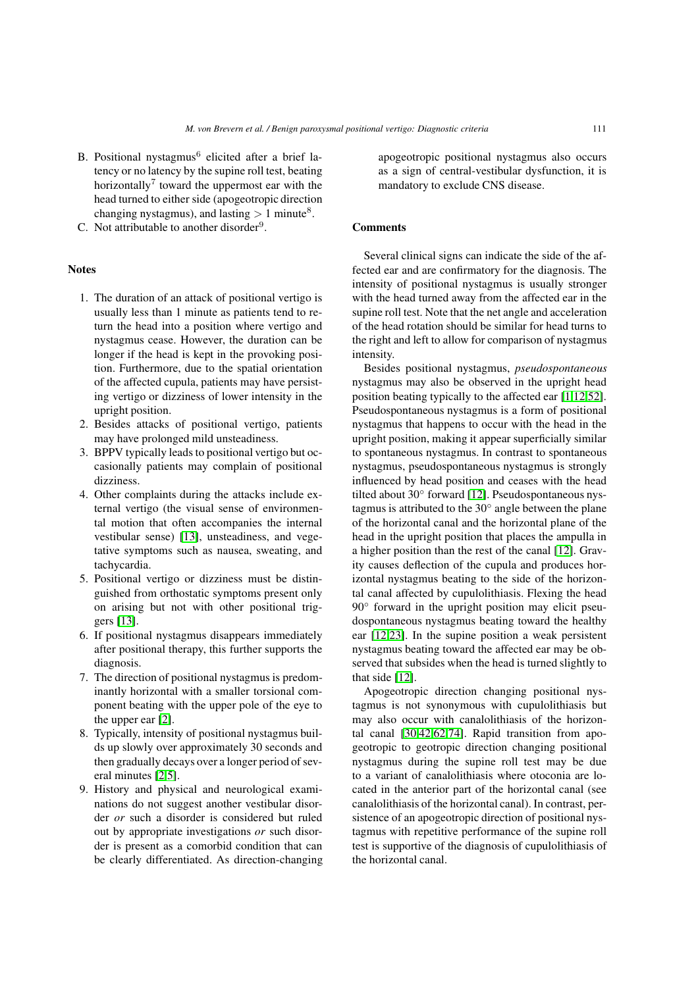- B. Positional nystagmus $6$  elicited after a brief latency or no latency by the supine roll test, beating horizontally<sup>7</sup> toward the uppermost ear with the head turned to either side (apogeotropic direction changing nystagmus), and lasting  $> 1$  minute<sup>8</sup>.
- C. Not attributable to another disorder<sup>9</sup>.

# **Notes**

- 1. The duration of an attack of positional vertigo is usually less than 1 minute as patients tend to return the head into a position where vertigo and nystagmus cease. However, the duration can be longer if the head is kept in the provoking position. Furthermore, due to the spatial orientation of the affected cupula, patients may have persisting vertigo or dizziness of lower intensity in the upright position.
- 2. Besides attacks of positional vertigo, patients may have prolonged mild unsteadiness.
- 3. BPPV typically leads to positional vertigo but occasionally patients may complain of positional dizziness.
- 4. Other complaints during the attacks include external vertigo (the visual sense of environmental motion that often accompanies the internal vestibular sense) [\[13\]](#page-11-0), unsteadiness, and vegetative symptoms such as nausea, sweating, and tachycardia.
- 5. Positional vertigo or dizziness must be distinguished from orthostatic symptoms present only on arising but not with other positional triggers [\[13\]](#page-11-0).
- 6. If positional nystagmus disappears immediately after positional therapy, this further supports the diagnosis.
- 7. The direction of positional nystagmus is predominantly horizontal with a smaller torsional component beating with the upper pole of the eye to the upper ear [\[2\]](#page-10-1).
- 8. Typically, intensity of positional nystagmus builds up slowly over approximately 30 seconds and then gradually decays over a longer period of several minutes [\[2,](#page-10-1)[5\]](#page-10-0).
- 9. History and physical and neurological examinations do not suggest another vestibular disorder *or* such a disorder is considered but ruled out by appropriate investigations *or* such disorder is present as a comorbid condition that can be clearly differentiated. As direction-changing

apogeotropic positional nystagmus also occurs as a sign of central-vestibular dysfunction, it is mandatory to exclude CNS disease.

# Comments

Several clinical signs can indicate the side of the affected ear and are confirmatory for the diagnosis. The intensity of positional nystagmus is usually stronger with the head turned away from the affected ear in the supine roll test. Note that the net angle and acceleration of the head rotation should be similar for head turns to the right and left to allow for comparison of nystagmus intensity.

Besides positional nystagmus, *pseudospontaneous* nystagmus may also be observed in the upright head position beating typically to the affected ear [\[1](#page-10-6)[,12](#page-11-33)[,52\]](#page-12-29). Pseudospontaneous nystagmus is a form of positional nystagmus that happens to occur with the head in the upright position, making it appear superficially similar to spontaneous nystagmus. In contrast to spontaneous nystagmus, pseudospontaneous nystagmus is strongly influenced by head position and ceases with the head tilted about 30◦ forward [\[12\]](#page-11-33). Pseudospontaneous nystagmus is attributed to the 30◦ angle between the plane of the horizontal canal and the horizontal plane of the head in the upright position that places the ampulla in a higher position than the rest of the canal [\[12\]](#page-11-33). Gravity causes deflection of the cupula and produces horizontal nystagmus beating to the side of the horizontal canal affected by cupulolithiasis. Flexing the head 90<sup>°</sup> forward in the upright position may elicit pseudospontaneous nystagmus beating toward the healthy ear [\[12,](#page-11-33)[23\]](#page-11-30). In the supine position a weak persistent nystagmus beating toward the affected ear may be observed that subsides when the head is turned slightly to that side [\[12\]](#page-11-33).

Apogeotropic direction changing positional nystagmus is not synonymous with cupulolithiasis but may also occur with canalolithiasis of the horizontal canal [\[30,](#page-11-27)[42,](#page-11-28)[62,](#page-12-28)[74\]](#page-12-31). Rapid transition from apogeotropic to geotropic direction changing positional nystagmus during the supine roll test may be due to a variant of canalolithiasis where otoconia are located in the anterior part of the horizontal canal (see canalolithiasis of the horizontal canal). In contrast, persistence of an apogeotropic direction of positional nystagmus with repetitive performance of the supine roll test is supportive of the diagnosis of cupulolithiasis of the horizontal canal.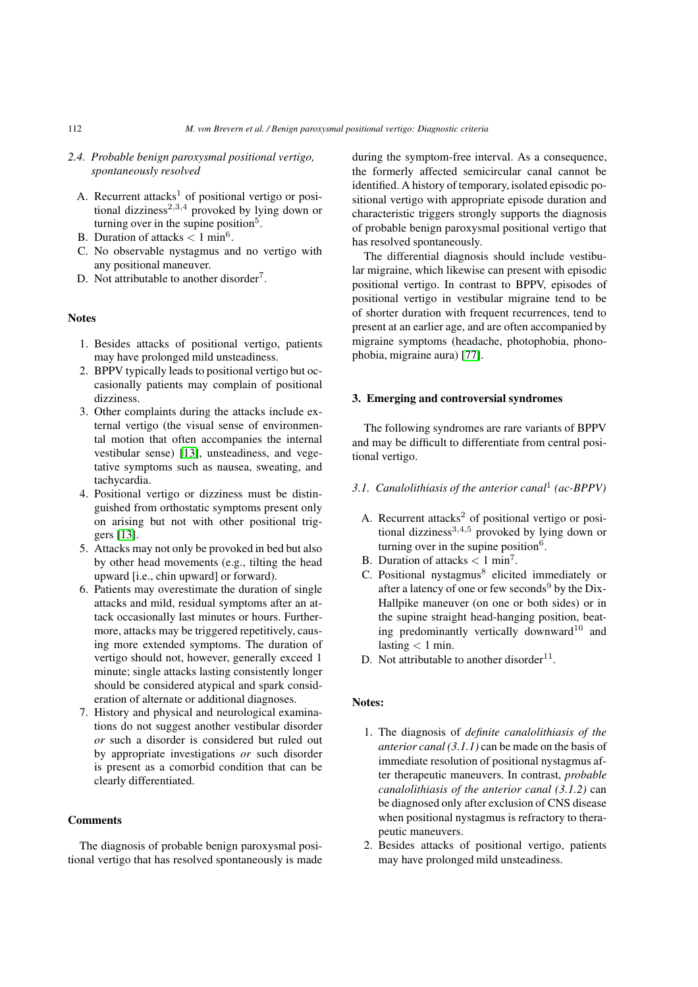- *2.4. Probable benign paroxysmal positional vertigo, spontaneously resolved*
	- A. Recurrent attacks<sup>1</sup> of positional vertigo or positional dizziness<sup>2,3,4</sup> provoked by lying down or turning over in the supine position<sup>5</sup>.
	- B. Duration of attacks *<* 1 min<sup>6</sup>.
	- C. No observable nystagmus and no vertigo with any positional maneuver.
	- D. Not attributable to another disorder<sup>7</sup>.

### Notes

- 1. Besides attacks of positional vertigo, patients may have prolonged mild unsteadiness.
- 2. BPPV typically leads to positional vertigo but occasionally patients may complain of positional dizziness.
- 3. Other complaints during the attacks include external vertigo (the visual sense of environmental motion that often accompanies the internal vestibular sense) [\[13\]](#page-11-0), unsteadiness, and vegetative symptoms such as nausea, sweating, and tachycardia.
- 4. Positional vertigo or dizziness must be distinguished from orthostatic symptoms present only on arising but not with other positional triggers [\[13\]](#page-11-0).
- 5. Attacks may not only be provoked in bed but also by other head movements (e.g., tilting the head upward [i.e., chin upward] or forward).
- 6. Patients may overestimate the duration of single attacks and mild, residual symptoms after an attack occasionally last minutes or hours. Furthermore, attacks may be triggered repetitively, causing more extended symptoms. The duration of vertigo should not, however, generally exceed 1 minute; single attacks lasting consistently longer should be considered atypical and spark consideration of alternate or additional diagnoses.
- 7. History and physical and neurological examinations do not suggest another vestibular disorder *or* such a disorder is considered but ruled out by appropriate investigations *or* such disorder is present as a comorbid condition that can be clearly differentiated.

# **Comments**

The diagnosis of probable benign paroxysmal positional vertigo that has resolved spontaneously is made during the symptom-free interval. As a consequence, the formerly affected semicircular canal cannot be identified. A history of temporary, isolated episodic positional vertigo with appropriate episode duration and characteristic triggers strongly supports the diagnosis of probable benign paroxysmal positional vertigo that has resolved spontaneously.

The differential diagnosis should include vestibular migraine, which likewise can present with episodic positional vertigo. In contrast to BPPV, episodes of positional vertigo in vestibular migraine tend to be of shorter duration with frequent recurrences, tend to present at an earlier age, and are often accompanied by migraine symptoms (headache, photophobia, phonophobia, migraine aura) [\[77\]](#page-12-19).

#### 3. Emerging and controversial syndromes

The following syndromes are rare variants of BPPV and may be difficult to differentiate from central positional vertigo.

# *3.1. Canalolithiasis of the anterior canal*<sup>1</sup> *(ac-BPPV)*

- A. Recurrent attacks $2$  of positional vertigo or positional dizziness<sup>3,4,5</sup> provoked by lying down or turning over in the supine position $6$ .
- B. Duration of attacks *<* 1 min7.
- C. Positional nystagmus<sup>8</sup> elicited immediately or after a latency of one or few seconds<sup>9</sup> by the Dix-Hallpike maneuver (on one or both sides) or in the supine straight head-hanging position, beating predominantly vertically downward $10$  and lasting  $< 1$  min.
- D. Not attributable to another disorder $11$ .

# Notes:

- 1. The diagnosis of *definite canalolithiasis of the anterior canal (3.1.1)* can be made on the basis of immediate resolution of positional nystagmus after therapeutic maneuvers. In contrast, *probable canalolithiasis of the anterior canal (3.1.2)* can be diagnosed only after exclusion of CNS disease when positional nystagmus is refractory to therapeutic maneuvers.
- 2. Besides attacks of positional vertigo, patients may have prolonged mild unsteadiness.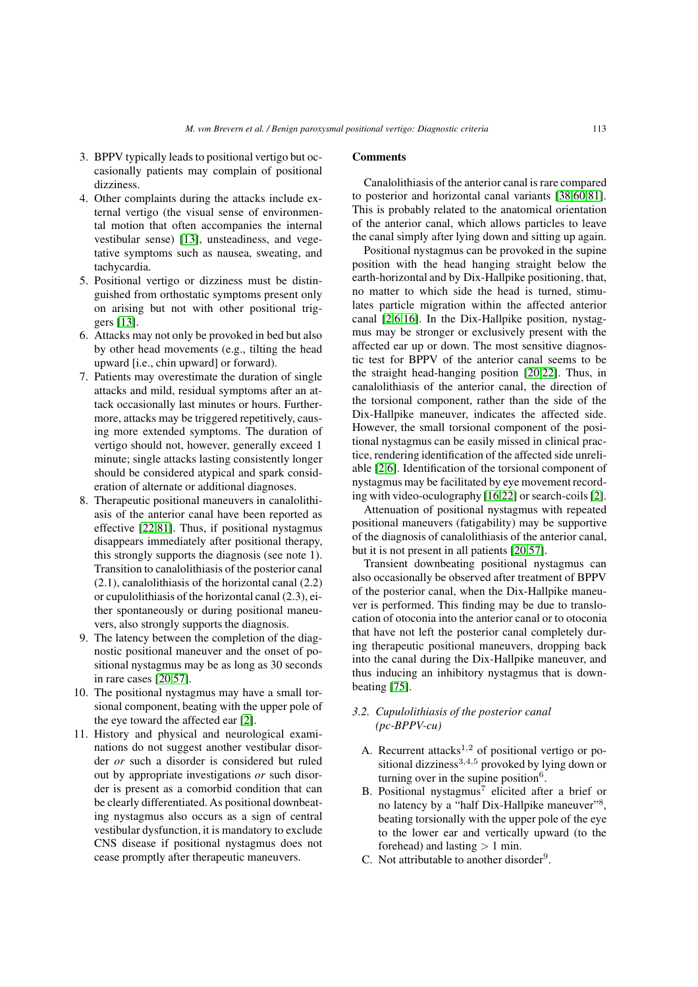- 3. BPPV typically leads to positional vertigo but occasionally patients may complain of positional dizziness.
- 4. Other complaints during the attacks include external vertigo (the visual sense of environmental motion that often accompanies the internal vestibular sense) [\[13\]](#page-11-0), unsteadiness, and vegetative symptoms such as nausea, sweating, and tachycardia.
- 5. Positional vertigo or dizziness must be distinguished from orthostatic symptoms present only on arising but not with other positional triggers [\[13\]](#page-11-0).
- 6. Attacks may not only be provoked in bed but also by other head movements (e.g., tilting the head upward [i.e., chin upward] or forward).
- 7. Patients may overestimate the duration of single attacks and mild, residual symptoms after an attack occasionally last minutes or hours. Furthermore, attacks may be triggered repetitively, causing more extended symptoms. The duration of vertigo should not, however, generally exceed 1 minute; single attacks lasting consistently longer should be considered atypical and spark consideration of alternate or additional diagnoses.
- 8. Therapeutic positional maneuvers in canalolithiasis of the anterior canal have been reported as effective [\[22](#page-11-34)[,81\]](#page-12-18). Thus, if positional nystagmus disappears immediately after positional therapy, this strongly supports the diagnosis (see note 1). Transition to canalolithiasis of the posterior canal (2.1), canalolithiasis of the horizontal canal (2.2) or cupulolithiasis of the horizontal canal (2.3), either spontaneously or during positional maneuvers, also strongly supports the diagnosis.
- 9. The latency between the completion of the diagnostic positional maneuver and the onset of positional nystagmus may be as long as 30 seconds in rare cases [\[20,](#page-11-20)[57\]](#page-12-32).
- 10. The positional nystagmus may have a small torsional component, beating with the upper pole of the eye toward the affected ear [\[2\]](#page-10-1).
- 11. History and physical and neurological examinations do not suggest another vestibular disorder *or* such a disorder is considered but ruled out by appropriate investigations *or* such disorder is present as a comorbid condition that can be clearly differentiated. As positional downbeating nystagmus also occurs as a sign of central vestibular dysfunction, it is mandatory to exclude CNS disease if positional nystagmus does not cease promptly after therapeutic maneuvers.

#### Comments

Canalolithiasis of the anterior canal is rare compared to posterior and horizontal canal variants [\[38](#page-11-19)[,60,](#page-12-17)[81\]](#page-12-18). This is probably related to the anatomical orientation of the anterior canal, which allows particles to leave the canal simply after lying down and sitting up again.

Positional nystagmus can be provoked in the supine position with the head hanging straight below the earth-horizontal and by Dix-Hallpike positioning, that, no matter to which side the head is turned, stimulates particle migration within the affected anterior canal [\[2](#page-10-1)[,6](#page-10-2)[,16\]](#page-11-17). In the Dix-Hallpike position, nystagmus may be stronger or exclusively present with the affected ear up or down. The most sensitive diagnostic test for BPPV of the anterior canal seems to be the straight head-hanging position [\[20,](#page-11-20)[22\]](#page-11-34). Thus, in canalolithiasis of the anterior canal, the direction of the torsional component, rather than the side of the Dix-Hallpike maneuver, indicates the affected side. However, the small torsional component of the positional nystagmus can be easily missed in clinical practice, rendering identification of the affected side unreliable [\[2,](#page-10-1)[6\]](#page-10-2). Identification of the torsional component of nystagmus may be facilitated by eye movement recording with video-oculography [\[16,](#page-11-17)[22\]](#page-11-34) or search-coils [\[2\]](#page-10-1).

Attenuation of positional nystagmus with repeated positional maneuvers (fatigability) may be supportive of the diagnosis of canalolithiasis of the anterior canal, but it is not present in all patients [\[20](#page-11-20)[,57\]](#page-12-32).

Transient downbeating positional nystagmus can also occasionally be observed after treatment of BPPV of the posterior canal, when the Dix-Hallpike maneuver is performed. This finding may be due to translocation of otoconia into the anterior canal or to otoconia that have not left the posterior canal completely during therapeutic positional maneuvers, dropping back into the canal during the Dix-Hallpike maneuver, and thus inducing an inhibitory nystagmus that is downbeating [\[75\]](#page-12-33).

# *3.2. Cupulolithiasis of the posterior canal (pc-BPPV-cu)*

- A. Recurrent attacks<sup>1,2</sup> of positional vertigo or positional dizziness<sup>3,4,5</sup> provoked by lying down or turning over in the supine position $6$ .
- B. Positional nystagmus<sup>7</sup> elicited after a brief or no latency by a "half Dix-Hallpike maneuver"<sup>8</sup>, beating torsionally with the upper pole of the eye to the lower ear and vertically upward (to the forehead) and lasting *>* 1 min.
- C. Not attributable to another disorder $9$ .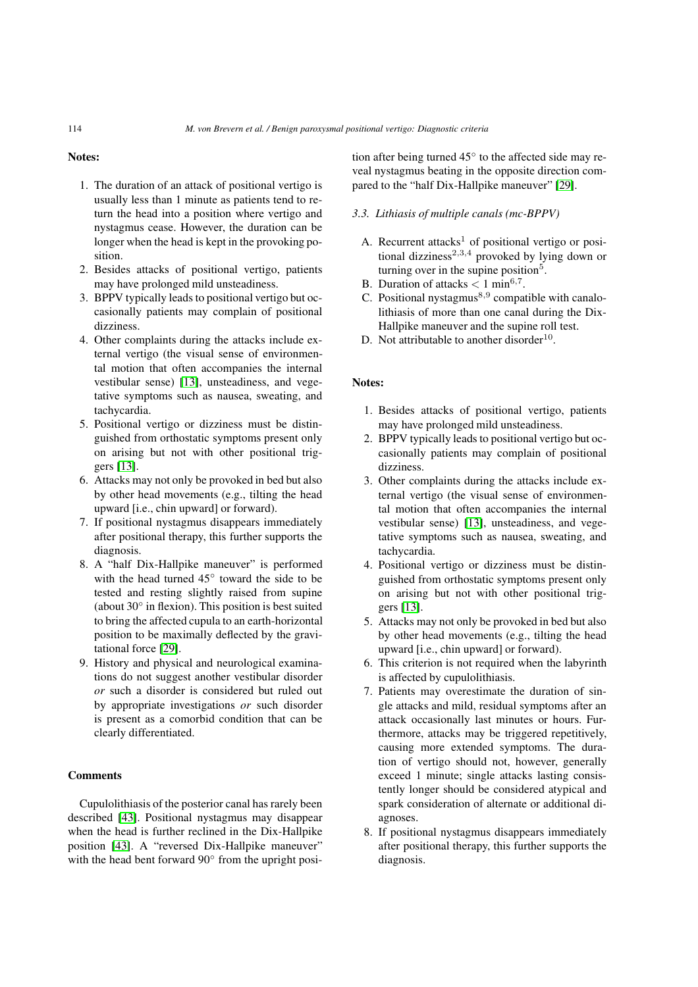#### Notes:

- 1. The duration of an attack of positional vertigo is usually less than 1 minute as patients tend to return the head into a position where vertigo and nystagmus cease. However, the duration can be longer when the head is kept in the provoking position.
- 2. Besides attacks of positional vertigo, patients may have prolonged mild unsteadiness.
- 3. BPPV typically leads to positional vertigo but occasionally patients may complain of positional dizziness.
- 4. Other complaints during the attacks include external vertigo (the visual sense of environmental motion that often accompanies the internal vestibular sense) [\[13\]](#page-11-0), unsteadiness, and vegetative symptoms such as nausea, sweating, and tachycardia.
- 5. Positional vertigo or dizziness must be distinguished from orthostatic symptoms present only on arising but not with other positional triggers [\[13\]](#page-11-0).
- 6. Attacks may not only be provoked in bed but also by other head movements (e.g., tilting the head upward [i.e., chin upward] or forward).
- 7. If positional nystagmus disappears immediately after positional therapy, this further supports the diagnosis.
- 8. A "half Dix-Hallpike maneuver" is performed with the head turned 45◦ toward the side to be tested and resting slightly raised from supine (about 30◦ in flexion). This position is best suited to bring the affected cupula to an earth-horizontal position to be maximally deflected by the gravitational force [\[29\]](#page-11-35).
- 9. History and physical and neurological examinations do not suggest another vestibular disorder *or* such a disorder is considered but ruled out by appropriate investigations *or* such disorder is present as a comorbid condition that can be clearly differentiated.

# **Comments**

Cupulolithiasis of the posterior canal has rarely been described [\[43\]](#page-11-36). Positional nystagmus may disappear when the head is further reclined in the Dix-Hallpike position [\[43\]](#page-11-36). A "reversed Dix-Hallpike maneuver" with the head bent forward 90<sup>°</sup> from the upright position after being turned 45◦ to the affected side may reveal nystagmus beating in the opposite direction compared to the "half Dix-Hallpike maneuver" [\[29\]](#page-11-35).

# *3.3. Lithiasis of multiple canals (mc-BPPV)*

- A. Recurrent attacks<sup>1</sup> of positional vertigo or positional dizziness<sup>2,3,4</sup> provoked by lying down or turning over in the supine position<sup>5</sup>.
- B. Duration of attacks *<* 1 min<sup>6</sup>*,*<sup>7</sup>.
- C. Positional nystagmus<sup>8</sup>*,*<sup>9</sup> compatible with canalolithiasis of more than one canal during the Dix-Hallpike maneuver and the supine roll test.
- D. Not attributable to another disorder<sup>10</sup>.

# Notes:

- 1. Besides attacks of positional vertigo, patients may have prolonged mild unsteadiness.
- 2. BPPV typically leads to positional vertigo but occasionally patients may complain of positional dizziness.
- 3. Other complaints during the attacks include external vertigo (the visual sense of environmental motion that often accompanies the internal vestibular sense) [\[13\]](#page-11-0), unsteadiness, and vegetative symptoms such as nausea, sweating, and tachycardia.
- 4. Positional vertigo or dizziness must be distinguished from orthostatic symptoms present only on arising but not with other positional triggers [\[13\]](#page-11-0).
- 5. Attacks may not only be provoked in bed but also by other head movements (e.g., tilting the head upward [i.e., chin upward] or forward).
- 6. This criterion is not required when the labyrinth is affected by cupulolithiasis.
- 7. Patients may overestimate the duration of single attacks and mild, residual symptoms after an attack occasionally last minutes or hours. Furthermore, attacks may be triggered repetitively, causing more extended symptoms. The duration of vertigo should not, however, generally exceed 1 minute; single attacks lasting consistently longer should be considered atypical and spark consideration of alternate or additional diagnoses.
- 8. If positional nystagmus disappears immediately after positional therapy, this further supports the diagnosis.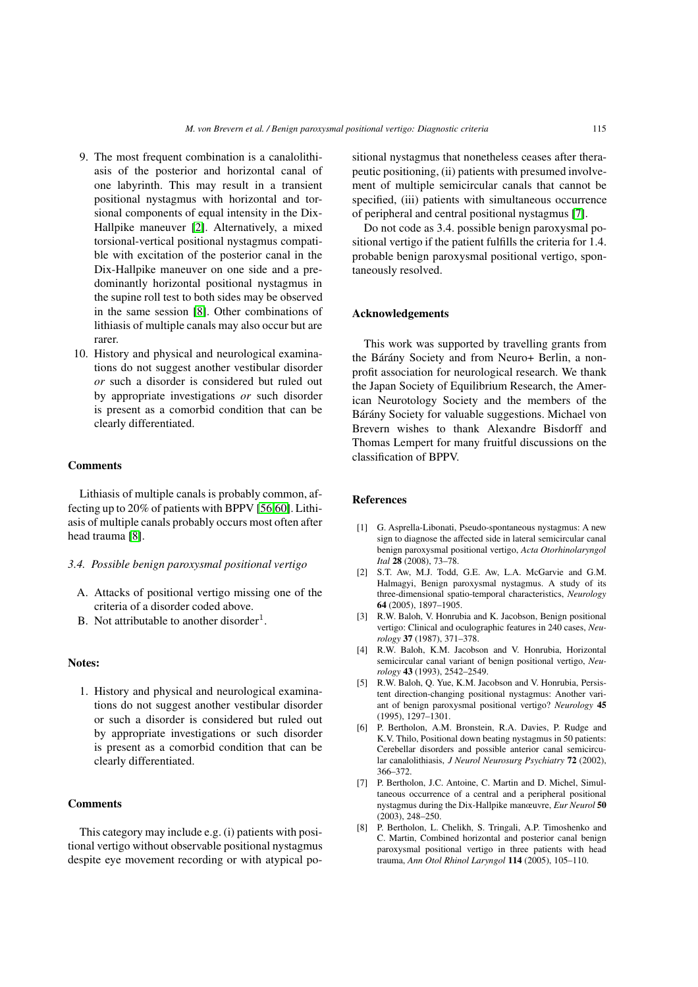- 9. The most frequent combination is a canalolithiasis of the posterior and horizontal canal of one labyrinth. This may result in a transient positional nystagmus with horizontal and torsional components of equal intensity in the Dix-Hallpike maneuver [\[2\]](#page-10-1). Alternatively, a mixed torsional-vertical positional nystagmus compatible with excitation of the posterior canal in the Dix-Hallpike maneuver on one side and a predominantly horizontal positional nystagmus in the supine roll test to both sides may be observed in the same session [\[8\]](#page-10-3). Other combinations of lithiasis of multiple canals may also occur but are rarer.
- 10. History and physical and neurological examinations do not suggest another vestibular disorder *or* such a disorder is considered but ruled out by appropriate investigations *or* such disorder is present as a comorbid condition that can be clearly differentiated.

# **Comments**

Lithiasis of multiple canals is probably common, affecting up to 20% of patients with BPPV [\[56](#page-12-34)[,60\]](#page-12-17). Lithiasis of multiple canals probably occurs most often after head trauma [\[8\]](#page-10-3).

#### *3.4. Possible benign paroxysmal positional vertigo*

- A. Attacks of positional vertigo missing one of the criteria of a disorder coded above.
- B. Not attributable to another disorder<sup>1</sup>.

# Notes:

1. History and physical and neurological examinations do not suggest another vestibular disorder or such a disorder is considered but ruled out by appropriate investigations or such disorder is present as a comorbid condition that can be clearly differentiated.

# **Comments**

This category may include e.g. (i) patients with positional vertigo without observable positional nystagmus despite eye movement recording or with atypical positional nystagmus that nonetheless ceases after therapeutic positioning, (ii) patients with presumed involvement of multiple semicircular canals that cannot be specified, (iii) patients with simultaneous occurrence of peripheral and central positional nystagmus [\[7\]](#page-10-7).

Do not code as 3.4. possible benign paroxysmal positional vertigo if the patient fulfills the criteria for 1.4. probable benign paroxysmal positional vertigo, spontaneously resolved.

# Acknowledgements

This work was supported by travelling grants from the Bárány Society and from Neuro+ Berlin, a nonprofit association for neurological research. We thank the Japan Society of Equilibrium Research, the American Neurotology Society and the members of the Bárány Society for valuable suggestions. Michael von Brevern wishes to thank Alexandre Bisdorff and Thomas Lempert for many fruitful discussions on the classification of BPPV.

# References

- <span id="page-10-6"></span>[1] G. Asprella-Libonati, Pseudo-spontaneous nystagmus: A new sign to diagnose the affected side in lateral semicircular canal benign paroxysmal positional vertigo, *Acta Otorhinolaryngol Ital* 28 (2008), 73–78.
- <span id="page-10-1"></span>[2] S.T. Aw, M.J. Todd, G.E. Aw, L.A. McGarvie and G.M. Halmagyi, Benign paroxysmal nystagmus. A study of its three-dimensional spatio-temporal characteristics, *Neurology* 64 (2005), 1897–1905.
- <span id="page-10-4"></span>[3] R.W. Baloh, V. Honrubia and K. Jacobson, Benign positional vertigo: Clinical and oculographic features in 240 cases, *Neurology* 37 (1987), 371–378.
- <span id="page-10-5"></span>[4] R.W. Baloh, K.M. Jacobson and V. Honrubia, Horizontal semicircular canal variant of benign positional vertigo, *Neurology* 43 (1993), 2542–2549.
- <span id="page-10-0"></span>[5] R.W. Baloh, Q. Yue, K.M. Jacobson and V. Honrubia, Persistent direction-changing positional nystagmus: Another variant of benign paroxysmal positional vertigo? *Neurology* 45 (1995), 1297–1301.
- <span id="page-10-2"></span>[6] P. Bertholon, A.M. Bronstein, R.A. Davies, P. Rudge and K.V. Thilo, Positional down beating nystagmus in 50 patients: Cerebellar disorders and possible anterior canal semicircular canalolithiasis, *J Neurol Neurosurg Psychiatry* 72 (2002), 366–372.
- <span id="page-10-7"></span>[7] P. Bertholon, J.C. Antoine, C. Martin and D. Michel, Simultaneous occurrence of a central and a peripheral positional nystagmus during the Dix-Hallpike manœuvre, *Eur Neurol* 50 (2003), 248–250.
- <span id="page-10-3"></span>[8] P. Bertholon, L. Chelikh, S. Tringali, A.P. Timoshenko and C. Martin, Combined horizontal and posterior canal benign paroxysmal positional vertigo in three patients with head trauma, *Ann Otol Rhinol Laryngol* 114 (2005), 105–110.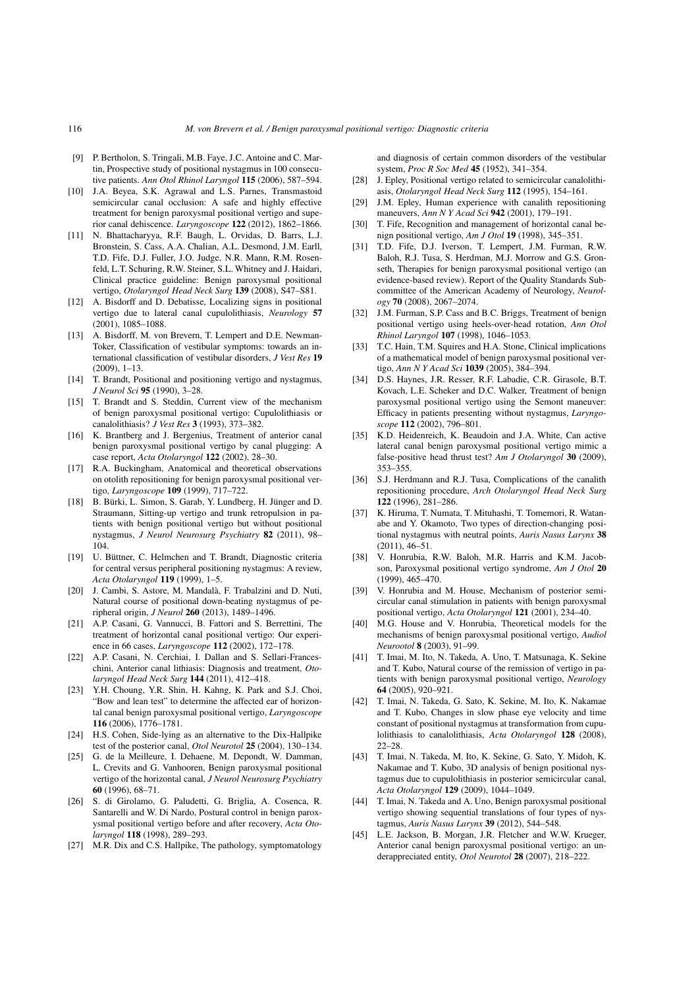- <span id="page-11-23"></span>[9] P. Bertholon, S. Tringali, M.B. Faye, J.C. Antoine and C. Martin, Prospective study of positional nystagmus in 100 consecutive patients. *Ann Otol Rhinol Laryngol* 115 (2006), 587–594.
- <span id="page-11-8"></span>[10] J.A. Beyea, S.K. Agrawal and L.S. Parnes, Transmastoid semicircular canal occlusion: A safe and highly effective treatment for benign paroxysmal positional vertigo and superior canal dehiscence. *Laryngoscope* 122 (2012), 1862–1866.
- <span id="page-11-2"></span>[11] N. Bhattacharyya, R.F. Baugh, L. Orvidas, D. Barrs, L.J. Bronstein, S. Cass, A.A. Chalian, A.L. Desmond, J.M. Earll, T.D. Fife, D.J. Fuller, J.O. Judge, N.R. Mann, R.M. Rosenfeld, L.T. Schuring, R.W. Steiner, S.L. Whitney and J. Haidari, Clinical practice guideline: Benign paroxysmal positional vertigo, *Otolaryngol Head Neck Surg* 139 (2008), S47–S81.
- <span id="page-11-33"></span>[12] A. Bisdorff and D. Debatisse, Localizing signs in positional vertigo due to lateral canal cupulolithiasis, *Neurology* 57 (2001), 1085–1088.
- <span id="page-11-0"></span>[13] A. Bisdorff, M. von Brevern, T. Lempert and D.E. Newman-Toker, Classification of vestibular symptoms: towards an international classification of vestibular disorders, *J Vest Res* 19 (2009), 1–13.
- <span id="page-11-22"></span>[14] T. Brandt, Positional and positioning vertigo and nystagmus, *J Neurol Sci* 95 (1990), 3–28.
- <span id="page-11-4"></span>[15] T. Brandt and S. Steddin, Current view of the mechanism of benign paroxysmal positional vertigo: Cupulolithiasis or canalolithiasis? *J Vest Res* 3 (1993), 373–382.
- <span id="page-11-17"></span>[16] K. Brantberg and J. Bergenius, Treatment of anterior canal benign paroxysmal positional vertigo by canal plugging: A case report, *Acta Otolaryngol* 122 (2002), 28–30.
- <span id="page-11-9"></span>[17] R.A. Buckingham, Anatomical and theoretical observations on otolith repositioning for benign paroxysmal positional vertigo, *Laryngoscope* 109 (1999), 717–722.
- <span id="page-11-10"></span>[18] B. Bürki, L. Simon, S. Garab, Y. Lundberg, H. Jünger and D. Straumann, Sitting-up vertigo and trunk retropulsion in patients with benign positional vertigo but without positional nystagmus, *J Neurol Neurosurg Psychiatry* 82 (2011), 98– 104.
- <span id="page-11-14"></span>[19] U. Büttner, C. Helmchen and T. Brandt, Diagnostic criteria for central versus peripheral positioning nystagmus: A review, *Acta Otolaryngol* 119 (1999), 1–5.
- <span id="page-11-20"></span>[20] J. Cambi, S. Astore, M. Mandalà, F. Trabalzini and D. Nuti, Natural course of positional down-beating nystagmus of peripheral origin, *J Neurol* 260 (2013), 1489–1496.
- <span id="page-11-29"></span>[21] A.P. Casani, G. Vannucci, B. Fattori and S. Berrettini, The treatment of horizontal canal positional vertigo: Our experience in 66 cases, *Laryngoscope* 112 (2002), 172–178.
- <span id="page-11-34"></span>[22] A.P. Casani, N. Cerchiai, I. Dallan and S. Sellari-Franceschini, Anterior canal lithiasis: Diagnosis and treatment, *Otolaryngol Head Neck Surg* 144 (2011), 412–418.
- <span id="page-11-30"></span>[23] Y.H. Choung, Y.R. Shin, H. Kahng, K. Park and S.J. Choi, "Bow and lean test" to determine the affected ear of horizontal canal benign paroxysmal positional vertigo, *Laryngoscope* 116 (2006), 1776–1781.
- <span id="page-11-16"></span>[24] H.S. Cohen, Side-lying as an alternative to the Dix-Hallpike test of the posterior canal, *Otol Neurotol* 25 (2004), 130–134.
- <span id="page-11-18"></span>[25] G. de la Meilleure, I. Dehaene, M. Depondt, W. Damman, L. Crevits and G. Vanhooren, Benign paroxysmal positional vertigo of the horizontal canal, *J Neurol Neurosurg Psychiatry* 60 (1996), 68–71.
- <span id="page-11-24"></span>[26] S. di Girolamo, G. Paludetti, G. Briglia, A. Cosenca, R. Santarelli and W. Di Nardo, Postural control in benign paroxysmal positional vertigo before and after recovery, *Acta Otolaryngol* 118 (1998), 289–293.
- <span id="page-11-15"></span>[27] M.R. Dix and C.S. Hallpike, The pathology, symptomatology

and diagnosis of certain common disorders of the vestibular system, *Proc R Soc Med* 45 (1952), 341–354.

- <span id="page-11-11"></span>[28] J. Epley, Positional vertigo related to semicircular canalolithiasis, *Otolaryngol Head Neck Surg* 112 (1995), 154–161.
- <span id="page-11-35"></span>[29] J.M. Epley, Human experience with canalith repositioning maneuvers, *Ann N Y Acad Sci* 942 (2001), 179–191.
- <span id="page-11-27"></span>[30] T. Fife, Recognition and management of horizontal canal benign positional vertigo, *Am J Otol* 19 (1998), 345–351.
- <span id="page-11-1"></span>[31] T.D. Fife, D.J. Iverson, T. Lempert, J.M. Furman, R.W. Baloh, R.J. Tusa, S. Herdman, M.J. Morrow and G.S. Gronseth, Therapies for benign paroxysmal positional vertigo (an evidence-based review). Report of the Quality Standards Subcommittee of the American Academy of Neurology, *Neurology* 70 (2008), 2067–2074.
- <span id="page-11-7"></span>[32] J.M. Furman, S.P. Cass and B.C. Briggs, Treatment of benign positional vertigo using heels-over-head rotation, *Ann Otol Rhinol Laryngol* 107 (1998), 1046–1053.
- <span id="page-11-5"></span>[33] T.C. Hain, T.M. Squires and H.A. Stone, Clinical implications of a mathematical model of benign paroxysmal positional vertigo, *Ann N Y Acad Sci* 1039 (2005), 384–394.
- <span id="page-11-26"></span>[34] D.S. Haynes, J.R. Resser, R.F. Labadie, C.R. Girasole, B.T. Kovach, L.E. Scheker and D.C. Walker, Treatment of benign paroxysmal positional vertigo using the Semont maneuver: Efficacy in patients presenting without nystagmus, *Laryngoscope* 112 (2002), 796–801.
- <span id="page-11-31"></span>[35] K.D. Heidenreich, K. Beaudoin and J.A. White, Can active lateral canal benign paroxysmal positional vertigo mimic a false-positive head thrust test? *Am J Otolaryngol* 30 (2009), 353–355.
- <span id="page-11-32"></span>[36] S.J. Herdmann and R.J. Tusa, Complications of the canalith repositioning procedure, *Arch Otolaryngol Head Neck Surg* 122 (1996), 281–286.
- <span id="page-11-12"></span>[37] K. Hiruma, T. Numata, T. Mituhashi, T. Tomemori, R. Watanabe and Y. Okamoto, Two types of direction-changing positional nystagmus with neutral points, *Auris Nasus Larynx* 38 (2011), 46–51.
- <span id="page-11-19"></span>[38] V. Honrubia, R.W. Baloh, M.R. Harris and K.M. Jacobson, Paroxysmal positional vertigo syndrome, *Am J Otol* 20 (1999), 465–470.
- <span id="page-11-25"></span>[39] V. Honrubia and M. House, Mechanism of posterior semicircular canal stimulation in patients with benign paroxysmal positional vertigo, *Acta Otolaryngol* 121 (2001), 234–40.
- <span id="page-11-6"></span>[40] M.G. House and V. Honrubia, Theoretical models for the mechanisms of benign paroxysmal positional vertigo, *Audiol Neurootol* 8 (2003), 91–99.
- <span id="page-11-3"></span>[41] T. Imai, M. Ito, N. Takeda, A. Uno, T. Matsunaga, K. Sekine and T. Kubo, Natural course of the remission of vertigo in patients with benign paroxysmal positional vertigo, *Neurology* 64 (2005), 920–921.
- <span id="page-11-28"></span>[42] T. Imai, N. Takeda, G. Sato, K. Sekine, M. Ito, K. Nakamae and T. Kubo, Changes in slow phase eye velocity and time constant of positional nystagmus at transformation from cupulolithiasis to canalolithiasis, *Acta Otolaryngol* 128 (2008), 22–28.
- <span id="page-11-36"></span>[43] T. Imai, N. Takeda, M. Ito, K. Sekine, G. Sato, Y. Midoh, K. Nakamae and T. Kubo, 3D analysis of benign positional nystagmus due to cupulolithiasis in posterior semicircular canal, *Acta Otolaryngol* 129 (2009), 1044–1049.
- <span id="page-11-13"></span>[44] T. Imai, N. Takeda and A. Uno, Benign paroxysmal positional vertigo showing sequential translations of four types of nystagmus, *Auris Nasus Larynx* 39 (2012), 544–548.
- <span id="page-11-21"></span>[45] L.E. Jackson, B. Morgan, J.R. Fletcher and W.W. Krueger, Anterior canal benign paroxysmal positional vertigo: an underappreciated entity, *Otol Neurotol* 28 (2007), 218–222.